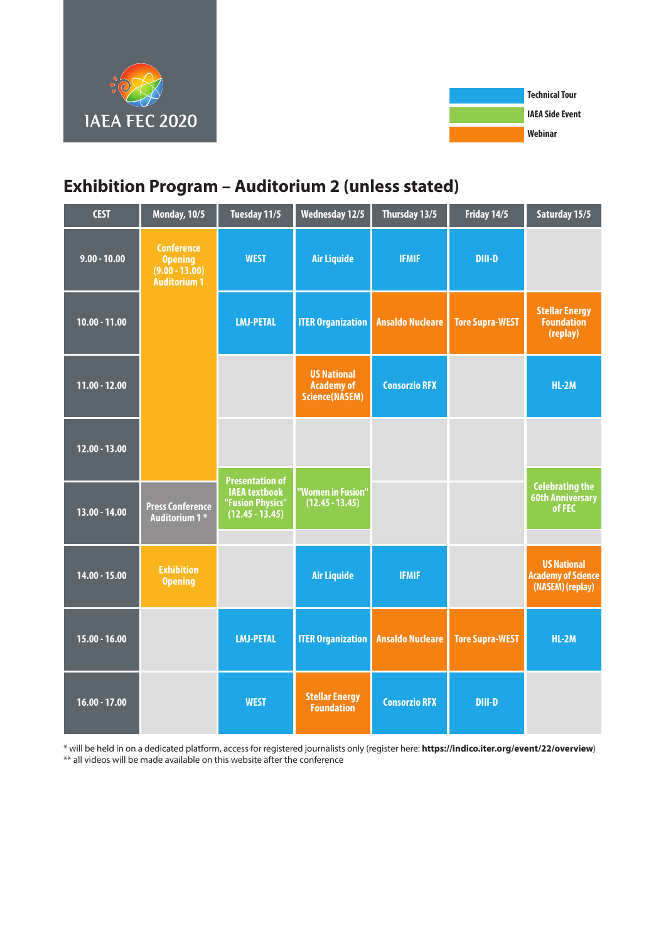



# **Exhibition Program – Auditorium 2 (unless stated)**

| <b>CEST</b>     | <b>Monday, 10/5</b>                                                            | Tuesday 11/5                                                                            | <b>Wednesday 12/5</b>                                     | Thursday 13/5           | Friday 14/5            | Saturday 15/5                                                       |
|-----------------|--------------------------------------------------------------------------------|-----------------------------------------------------------------------------------------|-----------------------------------------------------------|-------------------------|------------------------|---------------------------------------------------------------------|
| $9.00 - 10.00$  | <b>Conference</b><br><b>Opening</b><br>$(9.00 - 13.00)$<br><b>Auditorium 1</b> | <b>WEST</b>                                                                             | <b>Air Liquide</b>                                        | <b>IFMIF</b>            | <b>DIII-D</b>          |                                                                     |
| $10.00 - 11.00$ |                                                                                | <b>LMJ-PETAL</b>                                                                        | <b>ITER Organization</b>                                  | <b>Ansaldo Nucleare</b> | <b>Tore Supra-WEST</b> | <b>Stellar Energy</b><br><b>Foundation</b><br>(replay)              |
| $11.00 - 12.00$ |                                                                                |                                                                                         | <b>US National</b><br><b>Academy of</b><br>Science(NASEM) | <b>Consorzio RFX</b>    |                        | $HL-2M$                                                             |
| $12.00 - 13.00$ |                                                                                |                                                                                         |                                                           |                         |                        |                                                                     |
| $13.00 - 14.00$ | <b>Press Conference</b><br>Auditorium 1*                                       | <b>Presentation of</b><br><b>IAEA</b> textbook<br>"Fusion Physics"<br>$(12.45 - 13.45)$ | "Women in Fusion"<br>$(12.45 - 13.45)$                    |                         |                        | <b>Celebrating the</b><br><b>60th Anniversary</b><br>of FEC         |
| $14.00 - 15.00$ | <b>Exhibition</b><br><b>Opening</b>                                            |                                                                                         | <b>Air Liquide</b>                                        | <b>IFMIF</b>            |                        | <b>US National</b><br><b>Academy of Science</b><br>(NASEM) (replay) |
| $15.00 - 16.00$ |                                                                                | <b>LMJ-PETAL</b>                                                                        | <b>ITER Organization</b>                                  | <b>Ansaldo Nucleare</b> | <b>Tore Supra-WEST</b> | $HL-2M$                                                             |
| $16.00 - 17.00$ |                                                                                | <b>WEST</b>                                                                             | <b>Stellar Energy</b><br><b>Foundation</b>                | <b>Consorzio RFX</b>    | <b>DIII-D</b>          |                                                                     |

\* will be held in on a dedicated platform, access for registered journalists only (register here: **https://indico.iter.org/event/22/overview**) \*\* all videos will be made available on this website after the conference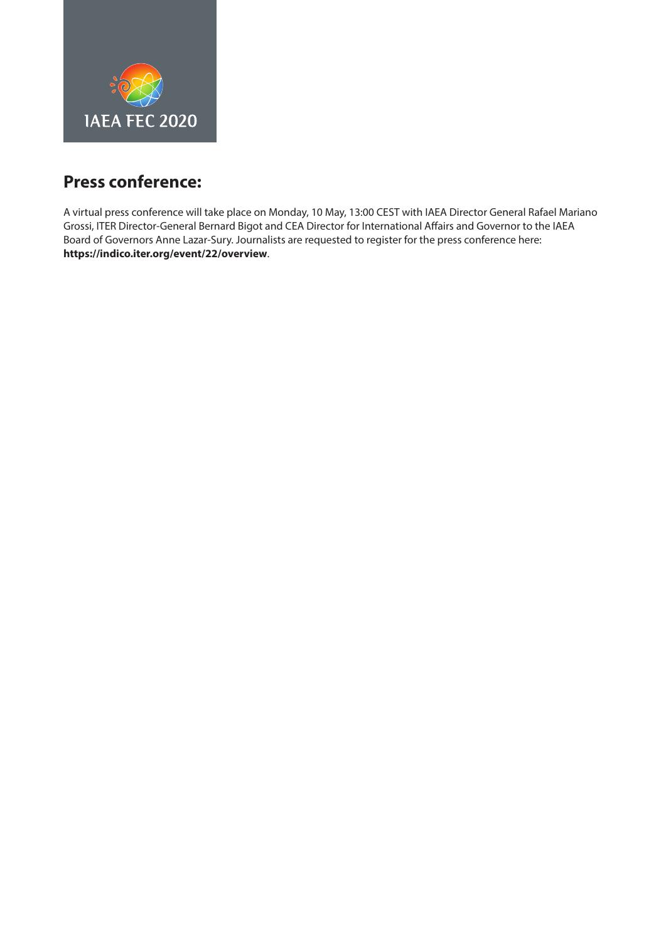<span id="page-1-0"></span>

## **Press conference:**

A virtual press conference will take place on Monday, 10 May, 13:00 CEST with IAEA Director General Rafael Mariano Grossi, ITER Director-General Bernard Bigot and CEA Director for International Affairs and Governor to the IAEA Board of Governors Anne Lazar-Sury. Journalists are requested to register for the press conference [here:](https://indico.iter.org/event/22/overview) **https://indico.iter.org/event/22/overview**.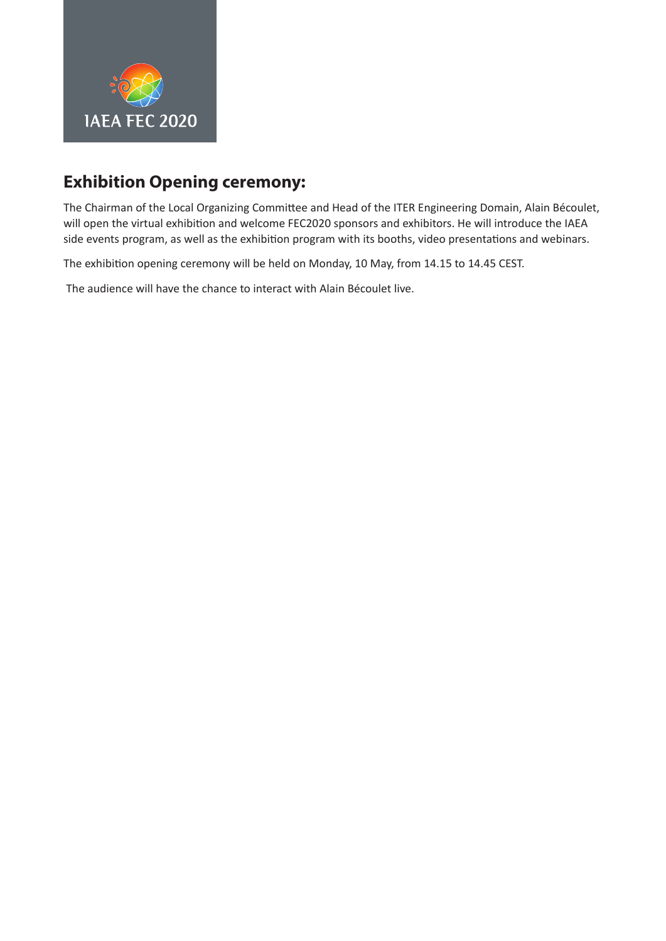<span id="page-2-0"></span>

# **Exhibition Opening ceremony:**

The Chairman of the Local Organizing Committee and Head of the ITER Engineering Domain, Alain Bécoulet, will open the virtual exhibition and welcome FEC2020 sponsors and exhibitors. He will introduce the IAEA side events program, as well as the exhibition program with its booths, video presentations and webinars.

The exhibition opening ceremony will be held on Monday, 10 May, from 14.15 to 14.45 CEST.

The audience will have the chance to interact with Alain Bécoulet live.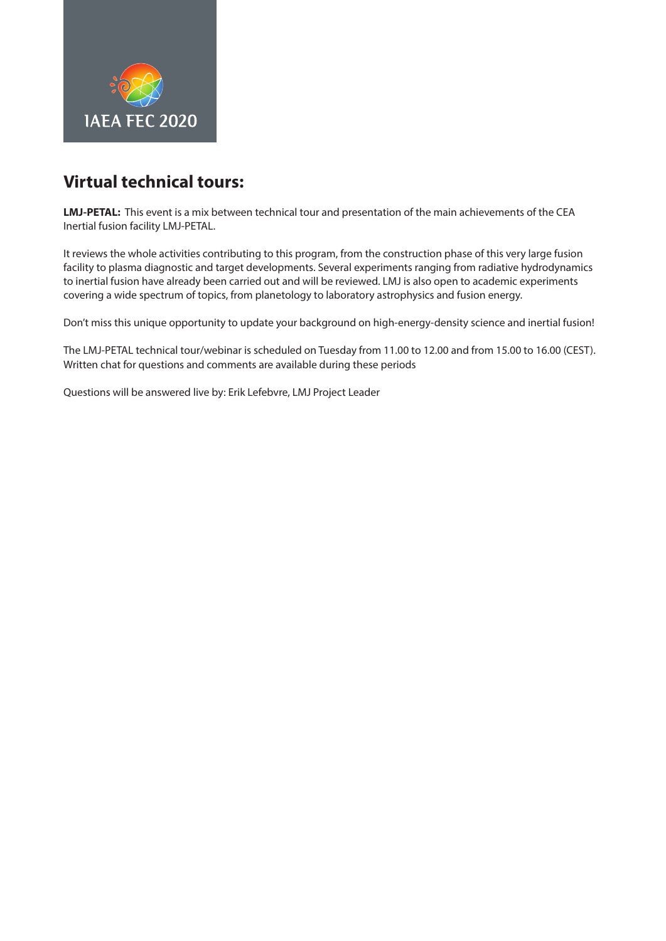<span id="page-3-0"></span>

**LMJ-PETAL:** This event is a mix between technical tour and presentation of the main achievements of the CEA Inertial fusion facility LMJ-PETAL.

It reviews the whole activities contributing to this program, from the construction phase of this very large fusion facility to plasma diagnostic and target developments. Several experiments ranging from radiative hydrodynamics to inertial fusion have already been carried out and will be reviewed. LMJ is also open to academic experiments covering a wide spectrum of topics, from planetology to laboratory astrophysics and fusion energy.

Don't miss this unique opportunity to update your background on high-energy-density science and inertial fusion!

The LMJ-PETAL technical tour/webinar is scheduled on Tuesday from 11.00 to 12.00 and from 15.00 to 16.00 (CEST). Written chat for questions and comments are available during these periods

Questions will be answered live by: Erik Lefebvre, LMJ Project Leader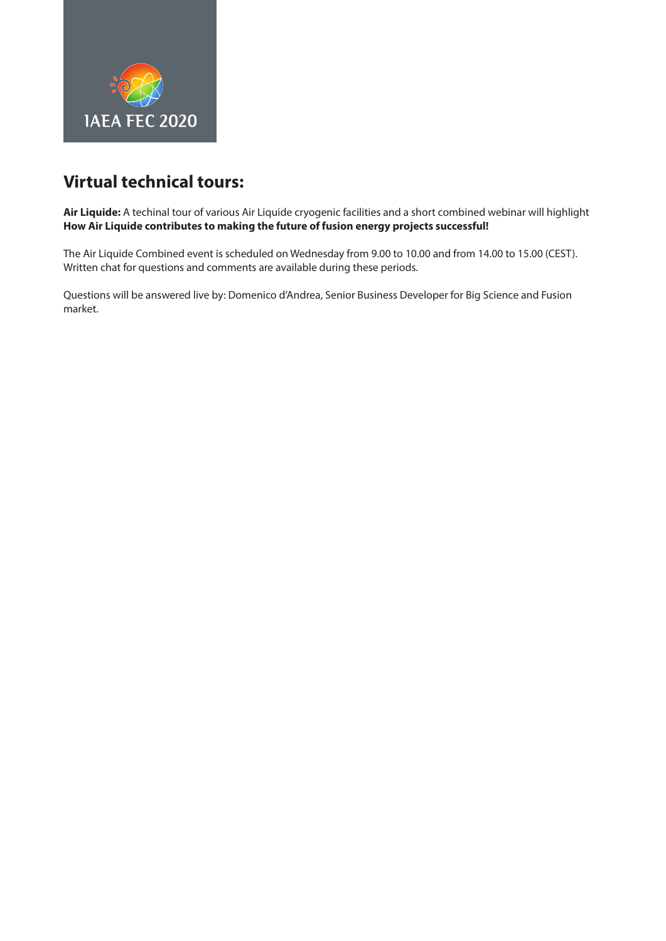<span id="page-4-0"></span>

**Air Liquide:** A techinal tour of various Air Liquide cryogenic facilities and a short combined webinar will highlight **How Air Liquide contributes to making the future of fusion energy projects successful!**

The Air Liquide Combined event is scheduled on Wednesday from 9.00 to 10.00 and from 14.00 to 15.00 (CEST). Written chat for questions and comments are available during these periods.

Questions will be answered live by: Domenico d'Andrea, Senior Business Developer for Big Science and Fusion market.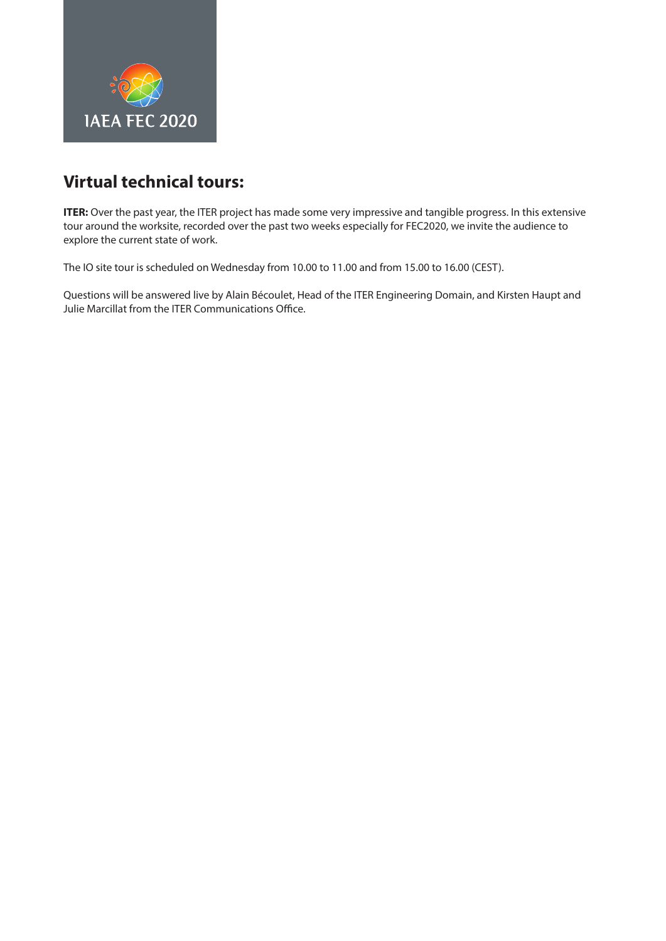<span id="page-5-0"></span>

**ITER:** Over the past year, the ITER project has made some very impressive and tangible progress. In this extensive tour around the worksite, recorded over the past two weeks especially for FEC2020, we invite the audience to explore the current state of work.

The IO site tour is scheduled on Wednesday from 10.00 to 11.00 and from 15.00 to 16.00 (CEST).

Questions will be answered live by Alain Bécoulet, Head of the ITER Engineering Domain, and Kirsten Haupt and Julie Marcillat from the ITER Communications Office.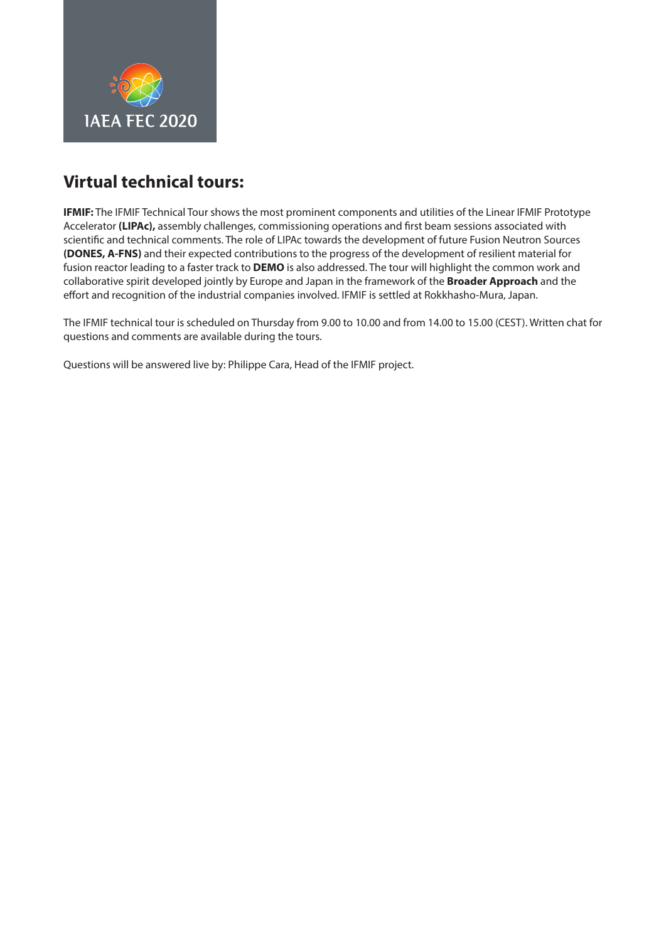<span id="page-6-0"></span>

**IFMIF:** The IFMIF Technical Tour shows the most prominent components and utilities of the Linear IFMIF Prototype Accelerator **(LIPAc),** assembly challenges, commissioning operations and first beam sessions associated with scientific and technical comments. The role of LIPAc towards the development of future Fusion Neutron Sources **(DONES, A-FNS)** and their expected contributions to the progress of the development of resilient material for fusion reactor leading to a faster track to **DEMO** is also addressed. The tour will highlight the common work and collaborative spirit developed jointly by Europe and Japan in the framework of the **Broader Approach** and the effort and recognition of the industrial companies involved. IFMIF is settled at Rokkhasho-Mura, Japan.

The IFMIF technical tour is scheduled on Thursday from 9.00 to 10.00 and from 14.00 to 15.00 (CEST). Written chat for questions and comments are available during the tours.

Questions will be answered live by: Philippe Cara, Head of the IFMIF project.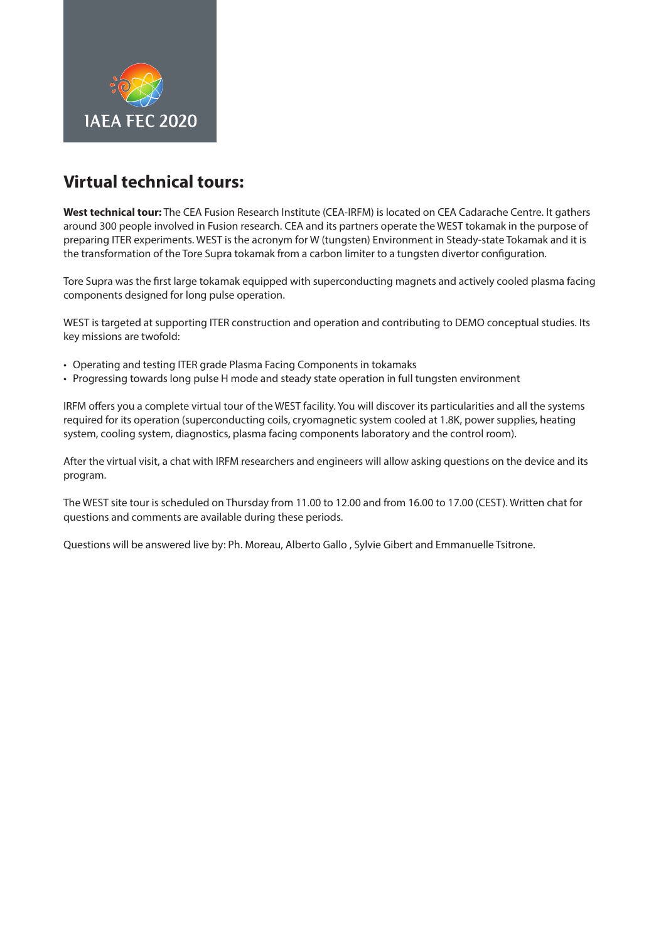<span id="page-7-0"></span>

**West technical tour:** The CEA Fusion Research Institute (CEA-IRFM) is located on CEA Cadarache Centre. It gathers around 300 people involved in Fusion research. CEA and its partners operate the WEST tokamak in the purpose of preparing ITER experiments. WEST is the acronym for W (tungsten) Environment in Steady-state Tokamak and it is the transformation of the Tore Supra tokamak from a carbon limiter to a tungsten divertor configuration.

Tore Supra was the first large tokamak equipped with superconducting magnets and actively cooled plasma facing components designed for long pulse operation.

WEST is targeted at supporting ITER construction and operation and contributing to DEMO conceptual studies. Its key missions are twofold:

- Operating and testing ITER grade Plasma Facing Components in tokamaks
- Progressing towards long pulse H mode and steady state operation in full tungsten environment

IRFM offers you a complete virtual tour of the WEST facility. You will discover its particularities and all the systems required for its operation (superconducting coils, cryomagnetic system cooled at 1.8K, power supplies, heating system, cooling system, diagnostics, plasma facing components laboratory and the control room).

After the virtual visit, a chat with IRFM researchers and engineers will allow asking questions on the device and its program.

The WEST site tour is scheduled on Thursday from 11.00 to 12.00 and from 16.00 to 17.00 (CEST). Written chat for questions and comments are available during these periods.

Questions will be answered live by: Ph. Moreau, Alberto Gallo , Sylvie Gibert and Emmanuelle Tsitrone.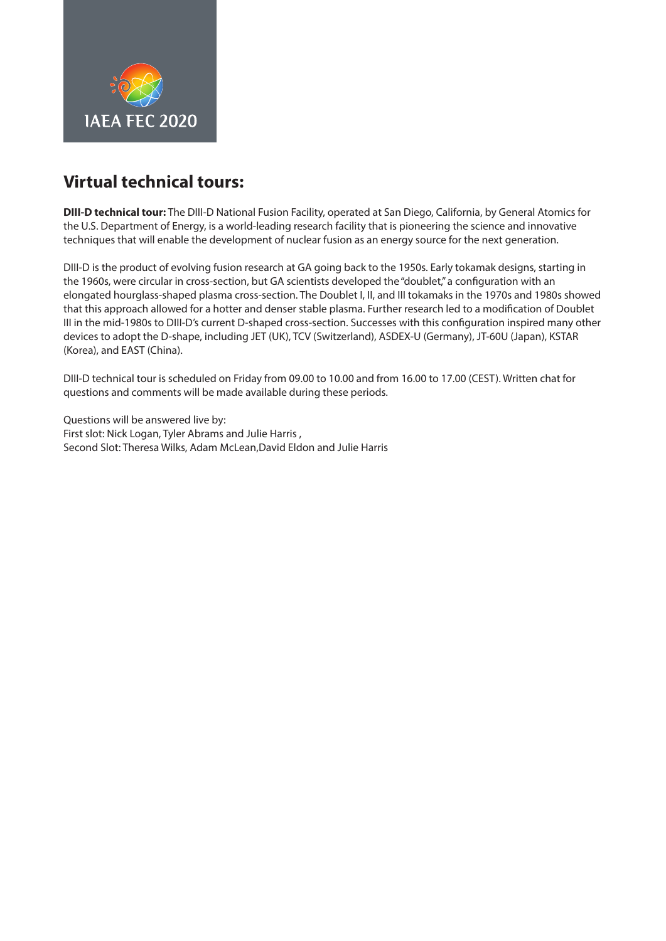<span id="page-8-0"></span>

**DIII-D technical tour:** The [DIII-D National Fusion Facility,](https://fusion.gat.com/global/diii-d/home) operated at San Diego, California, by General Atomics for the U.S. Department of Energy, is a world-leading research facility that is pioneering the science and innovative techniques that will enable the development of nuclear fusion as an energy source for the next generation.

DIII-D is the product of evolving fusion research at GA going back to the 1950s. Early tokamak designs, starting in the 1960s, were circular in cross-section, but GA scientists developed the "doublet," a configuration with an elongated hourglass-shaped plasma cross-section. The Doublet I, II, and III tokamaks in the 1970s and 1980s showed that this approach allowed for a hotter and denser stable plasma. Further research led to a modification of Doublet III in the mid-1980s to DIII-D's current D-shaped cross-section. Successes with this configuration inspired many other devices to adopt the D-shape, including JET (UK), TCV (Switzerland), ASDEX-U (Germany), JT-60U (Japan), KSTAR (Korea), and EAST (China).

DIII-D technical tour is scheduled on Friday from 09.00 to 10.00 and from 16.00 to 17.00 (CEST). Written chat for questions and comments will be made available during these periods.

Questions will be answered live by: First slot: Nick Logan, Tyler Abrams and Julie Harris , Second Slot: Theresa Wilks, Adam McLean,David Eldon and Julie Harris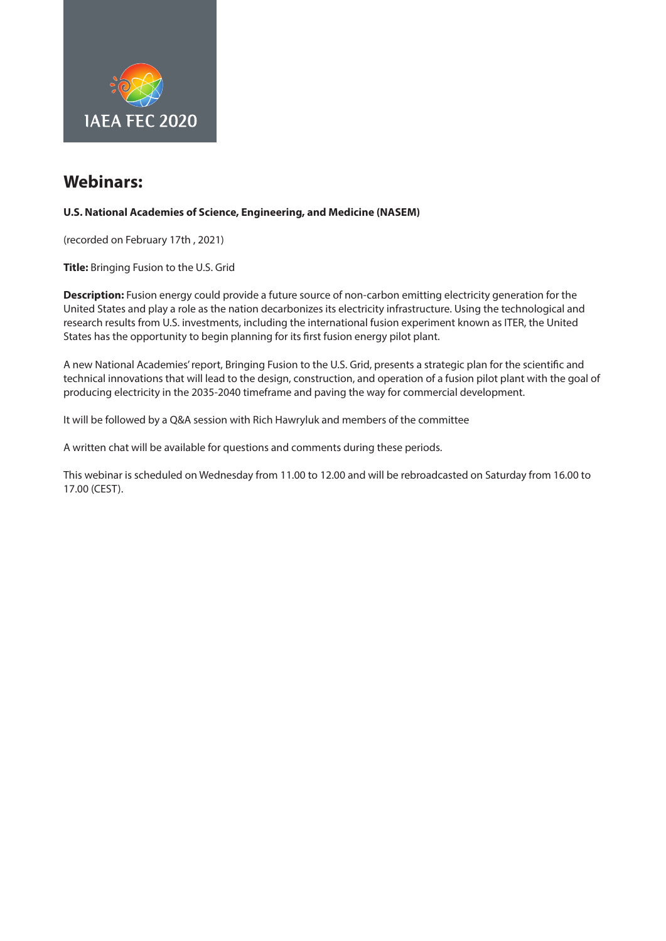<span id="page-9-0"></span>

#### **U.S. National Academies of Science, Engineering, and Medicine (NASEM)**

(recorded on February 17th , 2021)

**Title:** Bringing Fusion to the U.S. Grid

**Description:** Fusion energy could provide a future source of non-carbon emitting electricity generation for the United States and play a role as the nation decarbonizes its electricity infrastructure. Using the technological and research results from U.S. investments, including the international fusion experiment known as ITER, the United States has the opportunity to begin planning for its first fusion energy pilot plant.

A new National Academies' report, Bringing Fusion to the U.S. Grid, presents a strategic plan for the scientific and technical innovations that will lead to the design, construction, and operation of a fusion pilot plant with the goal of producing electricity in the 2035-2040 timeframe and paving the way for commercial development.

It will be followed by a Q&A session with Rich Hawryluk and members of the committee

A written chat will be available for questions and comments during these periods.

This webinar is scheduled on Wednesday from 11.00 to 12.00 and will be rebroadcasted on Saturday from 16.00 to 17.00 (CEST).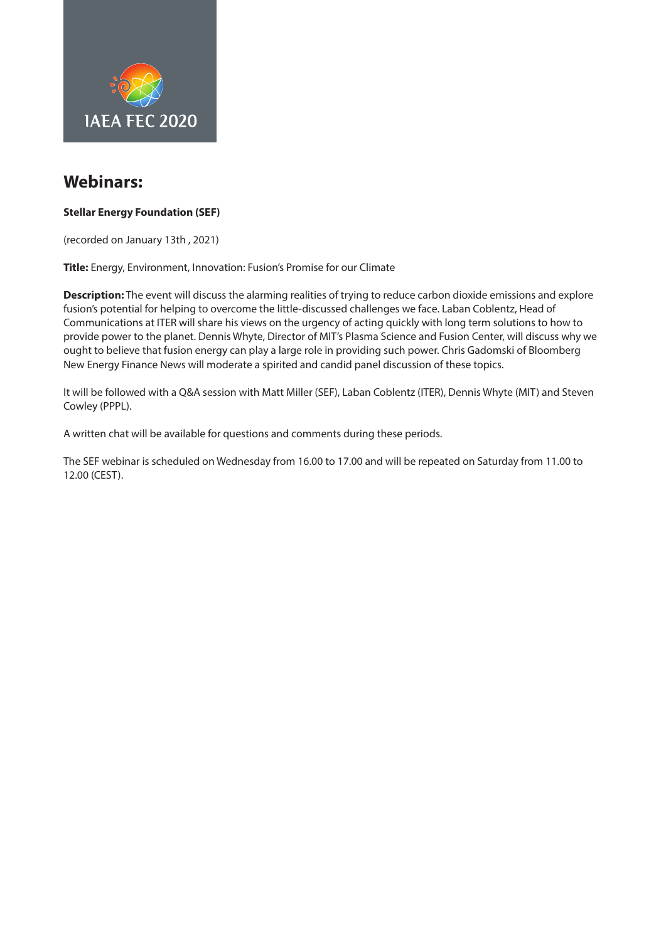<span id="page-10-0"></span>

#### **Stellar Energy Foundation (SEF)**

(recorded on January 13th , 2021)

**Title:** Energy, Environment, Innovation: Fusion's Promise for our Climate

**Description:** The event will discuss the alarming realities of trying to reduce carbon dioxide emissions and explore fusion's potential for helping to overcome the little-discussed challenges we face. Laban Coblentz, Head of Communications at ITER will share his views on the urgency of acting quickly with long term solutions to how to provide power to the planet. Dennis Whyte, Director of MIT's Plasma Science and Fusion Center, will discuss why we ought to believe that fusion energy can play a large role in providing such power. Chris Gadomski of Bloomberg New Energy Finance News will moderate a spirited and candid panel discussion of these topics.

It will be followed with a Q&A session with Matt Miller (SEF), Laban Coblentz (ITER), Dennis Whyte (MIT) and Steven Cowley (PPPL).

A written chat will be available for questions and comments during these periods.

The SEF webinar is scheduled on Wednesday from 16.00 to 17.00 and will be repeated on Saturday from 11.00 to 12.00 (CEST).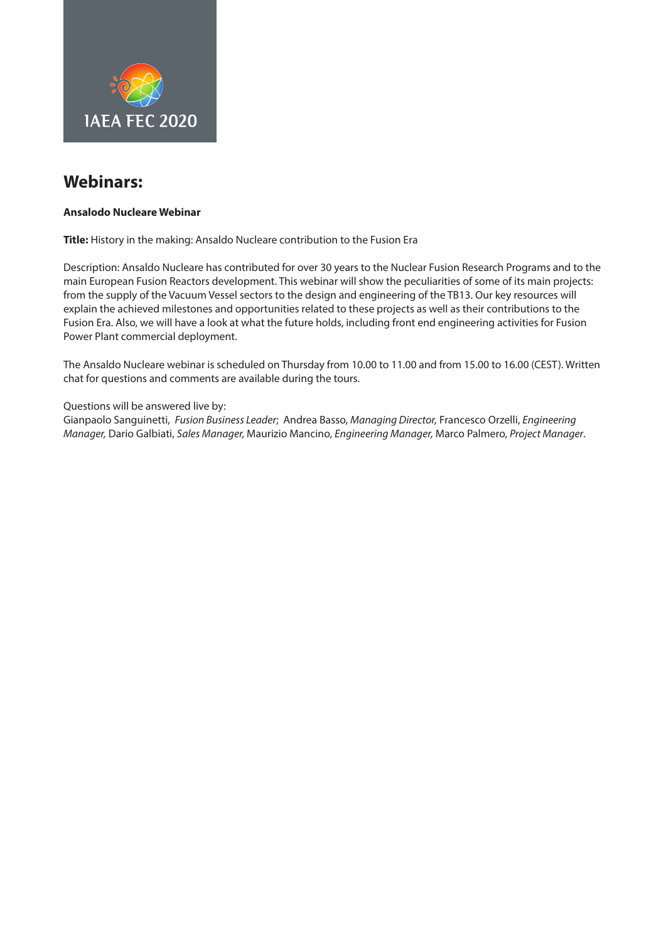<span id="page-11-0"></span>

#### **Ansalodo Nucleare Webinar**

**Title:** History in the making: Ansaldo Nucleare contribution to the Fusion Era

Description: Ansaldo Nucleare has contributed for over 30 years to the Nuclear Fusion Research Programs and to the main European Fusion Reactors development. This webinar will show the peculiarities of some of its main projects: from the supply of the Vacuum Vessel sectors to the design and engineering of the TB13. Our key resources will explain the achieved milestones and opportunities related to these projects as well as their contributions to the Fusion Era. Also, we will have a look at what the future holds, including front end engineering activities for Fusion Power Plant commercial deployment.

The Ansaldo Nucleare webinar is scheduled on Thursday from 10.00 to 11.00 and from 15.00 to 16.00 (CEST). Written chat for questions and comments are available during the tours.

Questions will be answered live by:

Gianpaolo Sanguinetti, Fusion Business Leader; Andrea Basso, Managing Director, Francesco Orzelli, Engineering Manager, Dario Galbiati, Sales Manager, Maurizio Mancino, Engineering Manager, Marco Palmero, Project Manager.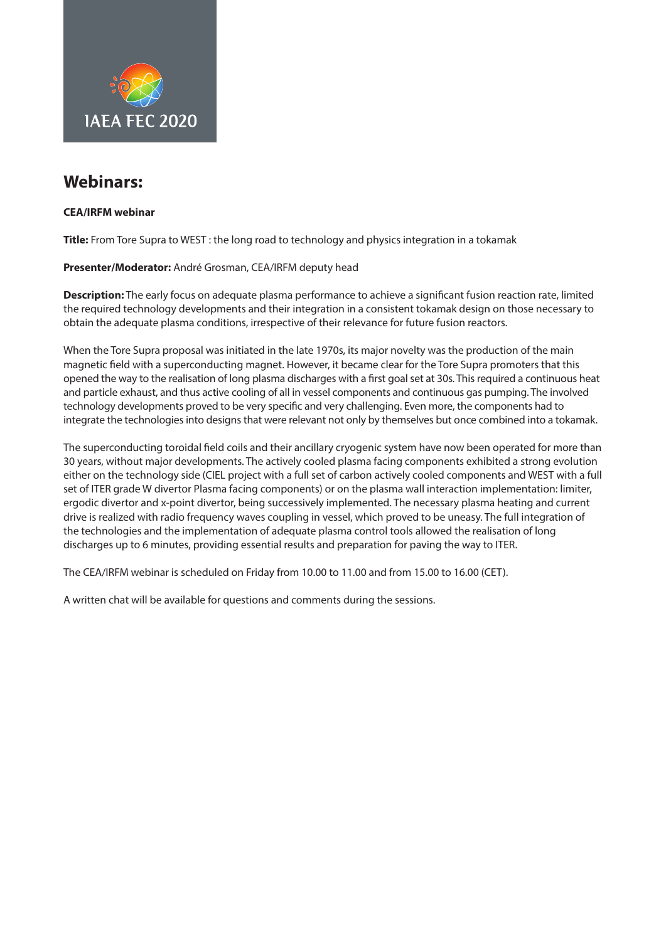<span id="page-12-0"></span>

#### **CEA/IRFM webinar**

**Title:** From Tore Supra to WEST : the long road to technology and physics integration in a tokamak

#### **Presenter/Moderator:** André Grosman, CEA/IRFM deputy head

**Description:** The early focus on adequate plasma performance to achieve a significant fusion reaction rate, limited the required technology developments and their integration in a consistent tokamak design on those necessary to obtain the adequate plasma conditions, irrespective of their relevance for future fusion reactors.

When the Tore Supra proposal was initiated in the late 1970s, its major novelty was the production of the main magnetic field with a superconducting magnet. However, it became clear for the Tore Supra promoters that this opened the way to the realisation of long plasma discharges with a first goal set at 30s. This required a continuous heat and particle exhaust, and thus active cooling of all in vessel components and continuous gas pumping. The involved technology developments proved to be very specific and very challenging. Even more, the components had to integrate the technologies into designs that were relevant not only by themselves but once combined into a tokamak.

The superconducting toroidal field coils and their ancillary cryogenic system have now been operated for more than 30 years, without major developments. The actively cooled plasma facing components exhibited a strong evolution either on the technology side (CIEL project with a full set of carbon actively cooled components and WEST with a full set of ITER grade W divertor Plasma facing components) or on the plasma wall interaction implementation: limiter, ergodic divertor and x-point divertor, being successively implemented. The necessary plasma heating and current drive is realized with radio frequency waves coupling in vessel, which proved to be uneasy. The full integration of the technologies and the implementation of adequate plasma control tools allowed the realisation of long discharges up to 6 minutes, providing essential results and preparation for paving the way to ITER.

The CEA/IRFM webinar is scheduled on Friday from 10.00 to 11.00 and from 15.00 to 16.00 (CET).

A written chat will be available for questions and comments during the sessions.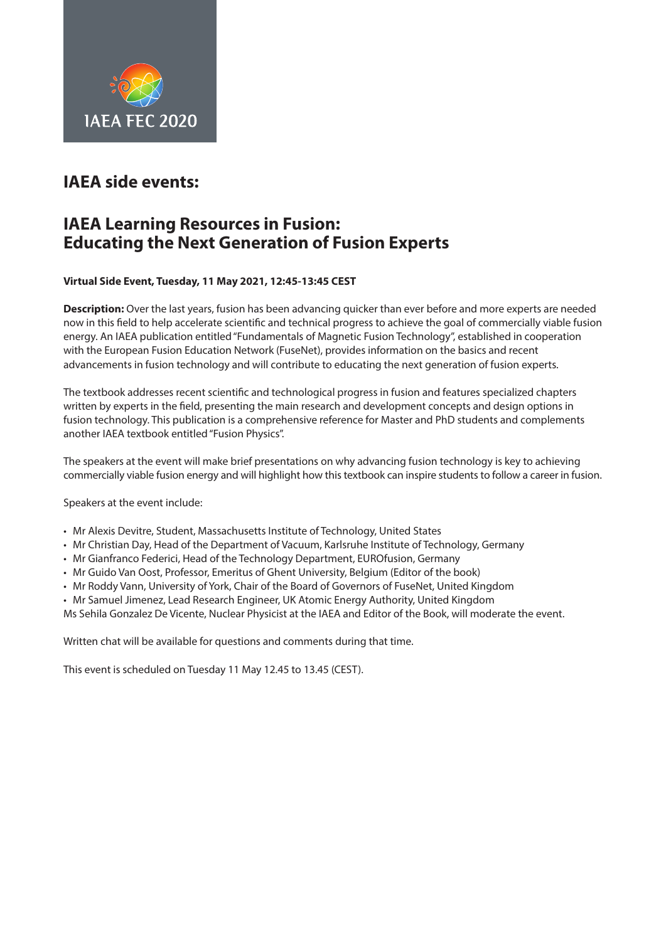<span id="page-13-0"></span>

## **IAEA side events:**

### **IAEA Learning Resources in Fusion: Educating the Next Generation of Fusion Experts**

#### **Virtual Side Event, Tuesday, 11 May 2021, 12:45-13:45 CEST**

**Description:** Over the last years, fusion has been advancing quicker than ever before and more experts are needed now in this field to help accelerate scientific and technical progress to achieve the goal of commercially viable fusion energy. An IAEA publication entitled "Fundamentals of Magnetic Fusion Technology", established in cooperation with the European Fusion Education Network (FuseNet), provides information on the basics and recent advancements in fusion technology and will contribute to educating the next generation of fusion experts.

The textbook addresses recent scientific and technological progress in fusion and features specialized chapters written by experts in the field, presenting the main research and development concepts and design options in fusion technology. This publication is a comprehensive reference for Master and PhD students and complements another IAEA textbook entitled ["Fusion Physics"](https://www.iaea.org/publications/8879/fusion-physics).

The speakers at the event will make brief presentations on why advancing fusion technology is key to achieving commercially viable fusion energy and will highlight how this textbook can inspire students to follow a career in fusion.

Speakers at the event include:

- Mr Alexis Devitre, Student, Massachusetts Institute of Technology, United States
- Mr Christian Day, Head of the Department of Vacuum, Karlsruhe Institute of Technology, Germany
- Mr Gianfranco Federici, Head of the Technology Department, EUROfusion, Germany
- Mr Guido Van Oost, Professor, Emeritus of Ghent University, Belgium (Editor of the book)
- Mr Roddy Vann, University of York, Chair of the Board of Governors of FuseNet, United Kingdom
- Mr Samuel Jimenez, Lead Research Engineer, UK Atomic Energy Authority, United Kingdom

Ms Sehila Gonzalez De Vicente, Nuclear Physicist at the IAEA and Editor of the Book, will moderate the event.

Written chat will be available for questions and comments during that time.

This event is scheduled on Tuesday 11 May 12.45 to 13.45 (CEST).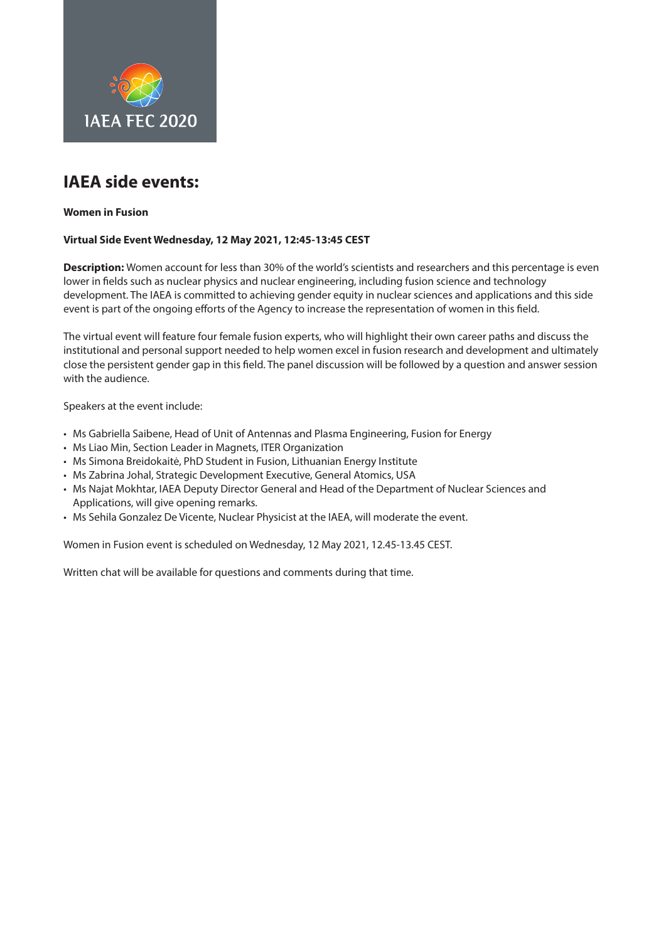<span id="page-14-0"></span>

## **IAEA side events:**

#### **Women in Fusion**

#### **Virtual Side Event Wednesday, 12 May 2021, 12:45-13:45 CEST**

**Description:** Women account for less than [30% of the world's scientists and researchers](http://uis.unesco.org/en/topic/women-science) and this percentage is even lower in fields such as nuclear physics and nuclear engineering, including fusion science and technology development. The IAEA is committed to achieving gender equity in nuclear sciences and applications and this side event is part of the ongoing efforts of the Agency to increase the representation of women in this field.

The virtual event will feature four female fusion experts, who will highlight their own career paths and discuss the institutional and personal support needed to help women excel in fusion research and development and ultimately close the persistent gender gap in this field. The panel discussion will be followed by a question and answer session with the audience.

Speakers at the event include:

- Ms Gabriella Saibene, Head of Unit of Antennas and Plasma Engineering, Fusion for Energy
- Ms Liao Min, Section Leader in Magnets, ITER Organization
- Ms Simona Breidokaitė, PhD Student in Fusion, Lithuanian Energy Institute
- Ms Zabrina Johal, Strategic Development Executive, General Atomics, USA
- Ms Najat Mokhtar, IAEA Deputy Director General and Head of the Department of Nuclear Sciences and Applications, will give opening remarks.
- Ms Sehila Gonzalez De Vicente, Nuclear Physicist at the IAEA, will moderate the event.

Women in Fusion event is scheduled on Wednesday, 12 May 2021, 12.45-13.45 CEST.

Written chat will be available for questions and comments during that time.